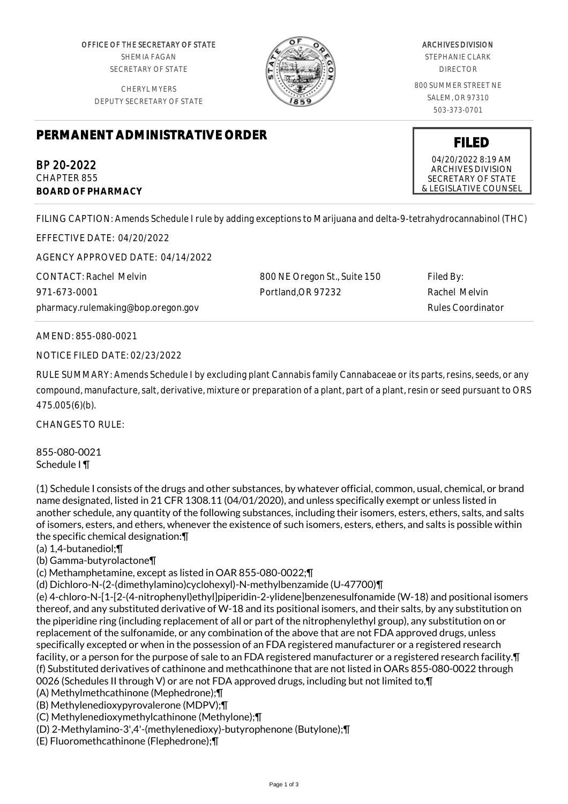OFFICE OF THE SECRETARY OF STATE SHEMIA FAGAN SECRETARY OF STATE

CHERYL MYERS DEPUTY SECRETARY OF STATE



## ARCHIVES DIVISION

STEPHANIE CLARK DIRECTOR

800 SUMMER STREET NE SALEM, OR 97310 503-373-0701

## **PERMANENT ADMINISTRATIVE ORDER**

BP 20-2022 CHAPTER 855 **BOARD OF PHARMACY**

FILING CAPTION: Amends Schedule I rule by adding exceptions to Marijuana and delta-9-tetrahydrocannabinol (THC)

EFFECTIVE DATE: 04/20/2022

AGENCY APPROVED DATE: 04/14/2022

CONTACT: Rachel Melvin 971-673-0001 pharmacy.rulemaking@bop.oregon.gov

800 NE Oregon St., Suite 150 Portland,OR 97232

Filed By: Rachel Melvin Rules Coordinator

AMEND: 855-080-0021

NOTICE FILED DATE: 02/23/2022

RULE SUMMARY: Amends Schedule I by excluding plant Cannabis family Cannabaceae or its parts, resins, seeds, or any compound, manufacture, salt, derivative, mixture or preparation of a plant, part of a plant, resin or seed pursuant to ORS 475.005(6)(b).

CHANGES TO RULE:

855-080-0021 Schedule I ¶

(1) Schedule I consists of the drugs and other substances, by whatever official, common, usual, chemical, or brand name designated, listed in 21 CFR 1308.11 (04/01/2020), and unless specifically exempt or unless listed in another schedule, any quantity of the following substances, including their isomers, esters, ethers, salts, and salts of isomers, esters, and ethers, whenever the existence of such isomers, esters, ethers, and salts is possible within the specific chemical designation:¶

(a) 1,4-butanediol;¶

(b) Gamma-butyrolactone¶

(c) Methamphetamine, except as listed in OAR 855-080-0022;¶

(d) Dichloro-N-(2-(dimethylamino)cyclohexyl)-N-methylbenzamide (U-47700)¶

(e) 4-chloro-N-[1-[2-(4-nitrophenyl)ethyl]piperidin-2-ylidene]benzenesulfonamide (W-18) and positional isomers thereof, and any substituted derivative of W-18 and its positional isomers, and their salts, by any substitution on the piperidine ring (including replacement of all or part of the nitrophenylethyl group), any substitution on or replacement of the sulfonamide, or any combination of the above that are not FDA approved drugs, unless specifically excepted or when in the possession of an FDA registered manufacturer or a registered research facility, or a person for the purpose of sale to an FDA registered manufacturer or a registered research facility. I (f) Substituted derivatives of cathinone and methcathinone that are not listed in OARs 855-080-0022 through 0026 (Schedules II through V) or are not FDA approved drugs, including but not limited to,¶

(A) Methylmethcathinone (Mephedrone);¶

(B) Methylenedioxypyrovalerone (MDPV);¶

(C) Methylenedioxymethylcathinone (Methylone);¶

(D) 2-Methylamino-3',4'-(methylenedioxy)-butyrophenone (Butylone);¶

(E) Fluoromethcathinone (Flephedrone);¶

## **FILED**

04/20/2022 8:19 AM ARCHIVES DIVISION SECRETARY OF STATE & LEGISLATIVE COUNSEL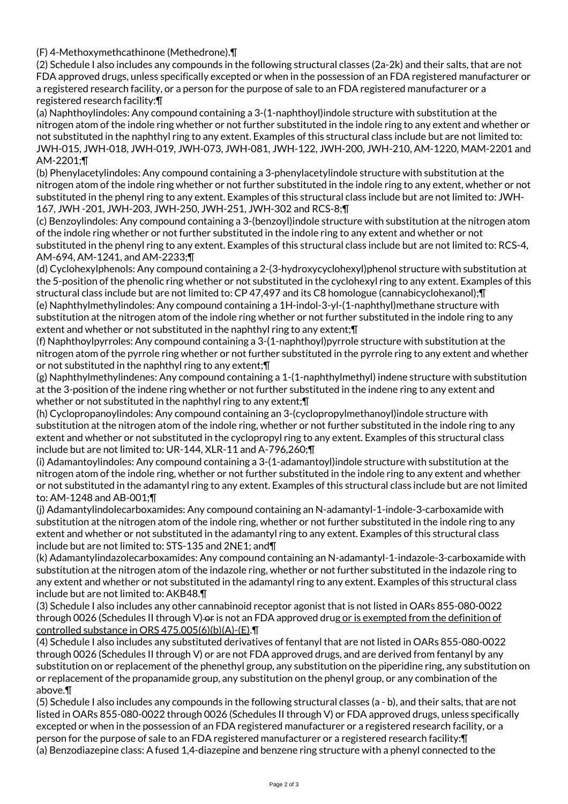(F) 4-Methoxymethcathinone (Methedrone).¶

(2) Schedule I also includes any compounds in the following structural classes (2a-2k) and their salts, that are not FDA approved drugs, unless specifically excepted or when in the possession of an FDA registered manufacturer or a registered research facility, or a person for the purpose of sale to an FDA registered manufacturer or a registered research facility:¶

(a) Naphthoylindoles: Any compound containing a 3-(1-naphthoyl)indole structure with substitution at the nitrogen atom of the indole ring whether or not further substituted in the indole ring to any extent and whether or not substituted in the naphthyl ring to any extent. Examples of this structural class include but are not limited to: JWH-015, JWH-018, JWH-019, JWH-073, JWH-081, JWH-122, JWH-200, JWH-210, AM-1220, MAM-2201 and AM-2201;¶

(b) Phenylacetylindoles: Any compound containing a 3-phenylacetylindole structure with substitution at the nitrogen atom of the indole ring whether or not further substituted in the indole ring to any extent, whether or not substituted in the phenyl ring to any extent. Examples of this structural class include but are not limited to: JWH-167, JWH -201, JWH-203, JWH-250, JWH-251, JWH-302 and RCS-8;¶

(c) Benzoylindoles: Any compound containing a 3-(benzoyl)indole structure with substitution at the nitrogen atom of the indole ring whether or not further substituted in the indole ring to any extent and whether or not substituted in the phenyl ring to any extent. Examples of this structural class include but are not limited to: RCS-4, AM-694, AM-1241, and AM-2233;¶

(d) Cyclohexylphenols: Any compound containing a 2-(3-hydroxycyclohexyl)phenol structure with substitution at the 5-position of the phenolic ring whether or not substituted in the cyclohexyl ring to any extent. Examples of this structural class include but are not limited to: CP 47,497 and its C8 homologue (cannabicyclohexanol);¶ (e) Naphthylmethylindoles: Any compound containing a 1H-indol-3-yl-(1-naphthyl)methane structure with substitution at the nitrogen atom of the indole ring whether or not further substituted in the indole ring to any

extent and whether or not substituted in the naphthyl ring to any extent;¶ (f) Naphthoylpyrroles: Any compound containing a 3-(1-naphthoyl)pyrrole structure with substitution at the nitrogen atom of the pyrrole ring whether or not further substituted in the pyrrole ring to any extent and whether

or not substituted in the naphthyl ring to any extent;¶ (g) Naphthylmethylindenes: Any compound containing a 1-(1-naphthylmethyl) indene structure with substitution at the 3-position of the indene ring whether or not further substituted in the indene ring to any extent and whether or not substituted in the naphthyl ring to any extent; T

(h) Cyclopropanoylindoles: Any compound containing an 3-(cyclopropylmethanoyl)indole structure with substitution at the nitrogen atom of the indole ring, whether or not further substituted in the indole ring to any extent and whether or not substituted in the cyclopropyl ring to any extent. Examples of this structural class include but are not limited to: UR-144, XLR-11 and A-796,260;¶

(i) Adamantoylindoles: Any compound containing a 3-(1-adamantoyl)indole structure with substitution at the nitrogen atom of the indole ring, whether or not further substituted in the indole ring to any extent and whether or not substituted in the adamantyl ring to any extent. Examples of this structural class include but are not limited to: AM-1248 and AB-001;¶

(j) Adamantylindolecarboxamides: Any compound containing an N-adamantyl-1-indole-3-carboxamide with substitution at the nitrogen atom of the indole ring, whether or not further substituted in the indole ring to any extent and whether or not substituted in the adamantyl ring to any extent. Examples of this structural class include but are not limited to: STS-135 and 2NE1; and¶

(k) Adamantylindazolecarboxamides: Any compound containing an N-adamantyl-1-indazole-3-carboxamide with substitution at the nitrogen atom of the indazole ring, whether or not further substituted in the indazole ring to any extent and whether or not substituted in the adamantyl ring to any extent. Examples of this structural class include but are not limited to: AKB48.¶

(3) Schedule I also includes any other cannabinoid receptor agonist that is not listed in OARs 855-080-0022 through 0026 (Schedules II through V) or is not an FDA approved drug or is exempted from the definition of controlled substance in ORS 475.005(6)(b)(A)-(E).¶

(4) Schedule I also includes any substituted derivatives of fentanyl that are not listed in OARs 855-080-0022 through 0026 (Schedules II through V) or are not FDA approved drugs, and are derived from fentanyl by any substitution on or replacement of the phenethyl group, any substitution on the piperidine ring, any substitution on or replacement of the propanamide group, any substitution on the phenyl group, or any combination of the above.¶

(5) Schedule I also includes any compounds in the following structural classes (a - b), and their salts, that are not listed in OARs 855-080-0022 through 0026 (Schedules II through V) or FDA approved drugs, unless specifically excepted or when in the possession of an FDA registered manufacturer or a registered research facility, or a person for the purpose of sale to an FDA registered manufacturer or a registered research facility:¶ (a) Benzodiazepine class: A fused 1,4-diazepine and benzene ring structure with a phenyl connected to the